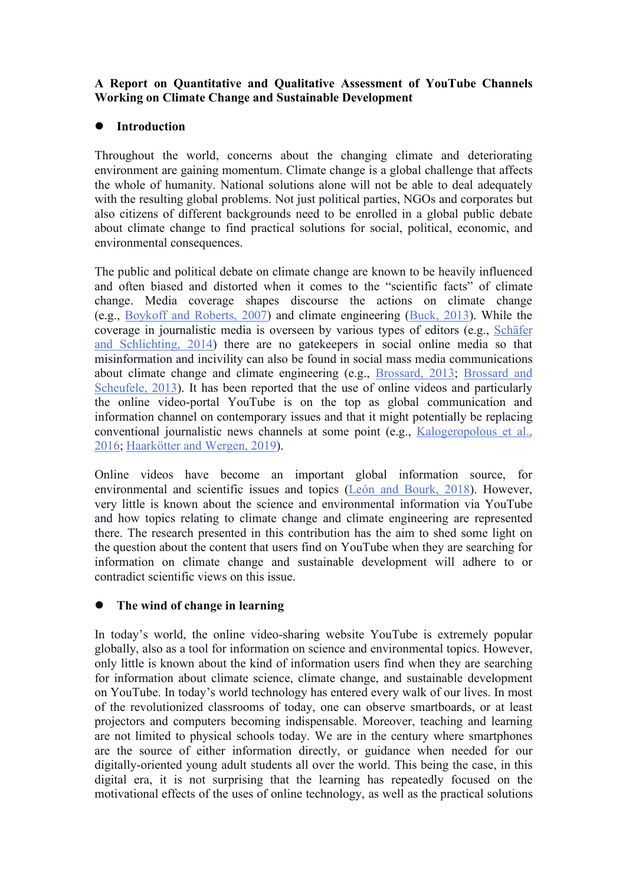# **A Report on Quantitative and Qualitative Assessment of YouTube Channels Working on Climate Change and Sustainable Development**

# **Introduction**

Throughout the world, concerns about the changing climate and deteriorating environment are gaining momentum. Climate change isa global challenge that affects the whole of humanity. National solutions alone will not be able to deal adequately with the resulting global problems. Not just political parties, NGOs and corporates but also citizens of different backgrounds need to be enrolled in a global public debate about climate change to find practical solutions for social, political, economic, and environmental consequences.

The public and political debate on climate change are known to be heavily influenced and often biased and distorted when it comes to the "scientific facts" of climate change. Media coverage shapes discourse the actions on climate change (e.g., Boykoff and Roberts, 2007) and climate engineering (Buck, 2013). While the coverage in journalistic media is overseen by various types of editors (e.g., Schäfer and Schlichting, 2014) there are no gatekeepers in social online media so that misinformation and incivility can also be found in social mass media communications about climate change and climate engineering (e.g., Brossard, 2013; Brossard and Scheufele, 2013). It has been reported that the use of online videos and particularly the online video-portal YouTube is on the top as global communication and information channel on contemporary issues and that it might potentially be replacing conventional journalistic news channels at some point (e.g., Kalogeropolous et al., 2016; Haarkötter and Wergen, 2019).

Online videos have become an important global information source, for environmental and scientific issues and topics (León and Bourk, 2018). However, very little is known about the science and environmental information via YouTube and how topics relating to climate change and climate engineering are represented there. The research presented in this contribution has the aim to shed some light on the question about the content that users find on YouTube when they are searching for information on climate change and sustainable development will adhere to or contradict scientific views on this issue.

# **The wind of change in learning**

In today's world, the online video-sharing website YouTube is extremely popular globally, also as a tool for information on science and environmental topics. However, only little is known about the kind of information users find when they are searching for information about climate science, climate change, and sustainable development on YouTube. In today's world technology has entered every walk of our lives. In most of the revolutionized classrooms of today, one can observe smartboards, or atleast projectors and computers becoming indispensable. Moreover, teaching and learning are not limited to physical schools today. We are in the century where smartphones are the source of either information directly, or guidance when needed for our digitally-oriented young adult students all over the world. This being the case, in this digital era, it is not surprising that the learning has repeatedly focused on the motivational effects of the uses of online technology, as well as the practical solutions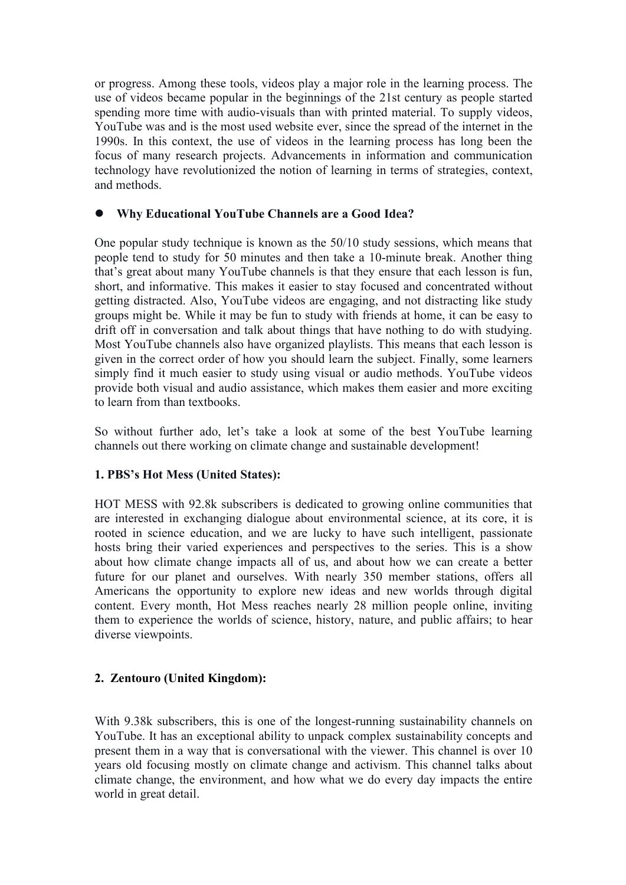or progress. Among these tools, videos play a major role in the learning process. The use of videos became popular in the beginnings of the 21st century as people started spending more time with audio-visuals than with printed material. To supply videos, YouTube was and is the most used website ever, since the spread of the internet in the 1990s. In this context, the use of videos in the learning process has long been the focus of many research projects. Advancements in information and communication technology have revolutionized the notion of learning in terms of strategies, context, and methods.

# **Why Educational YouTube Channels are a Good Idea?**

One popular study technique is known as the 50/10 study sessions, which means that people tend to study for 50 minutes and then take a 10-minute break. Another thing that's great about many YouTube channels is that they ensure that each lesson is fun, short, and informative. This makes it easier to stay focused and concentrated without getting distracted. Also, YouTube videos are engaging, and not distracting like study groups might be. While it may be fun to study with friends at home, it can be easy to drift off in conversation and talk about things that have nothing to do with studying. Most YouTube channels also have organized playlists. This means that each lesson is given in the correct order of how you should learn the subject. Finally, some learners simply find it much easier to study using visual or audio methods. YouTube videos provide both visual and audio assistance, which makes them easier and more exciting to learn from than textbooks.

So without further ado, let's take a look at some of the best YouTube learning channels out there working on climate change and sustainable development!

# **1. PBS's Hot Mess (United States):**

HOT MESS with 92.8k subscribers is dedicated to growing online communities that are interested in exchanging dialogue about environmental science, at its core, it is rooted in science education, and we are lucky to have such intelligent, passionate hosts bring their varied experiences and perspectives to the series. This is a show about how climate change impacts all of us, and about how we can create a better future for our planet and ourselves. With nearly 350 member stations, offers all Americans the opportunity to explore new ideas and new worlds through digital content. Every month, Hot Mess reaches nearly 28 million people online, inviting them to experience the worlds of science, history, nature, and public affairs; to hear diverse viewpoints.

# **2. Zentouro (United Kingdom):**

With 9.38k subscribers, this is one of the longest-running sustainability channels on YouTube. It has an exceptional ability to unpack complex sustainability concepts and present them in a way that is conversational with the viewer. This channel is over 10 years old focusing mostly on climate change and activism. This channel talks about climate change, the environment, and how what we do every day impacts the entire world in great detail.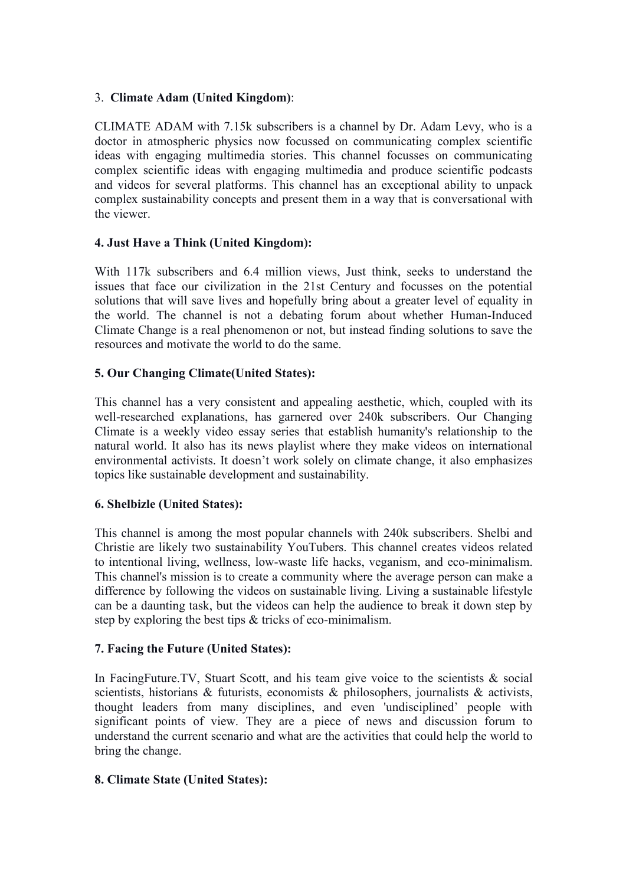### 3. **Climate Adam (United Kingdom)**:

CLIMATE ADAM with 7.15k subscribersis a channel by Dr. Adam Levy, who is a doctor in atmospheric physics now focussed on communicating complex scientific ideas with engaging multimedia stories. This channel focusses on communicating complex scientific ideas with engaging multimedia and produce scientific podcasts and videos for several platforms. This channel has an exceptional ability to unpack complex sustainability concepts and present them in a way that is conversational with the viewer.

### **4. Just Have a Think (United Kingdom):**

With 117k subscribers and 6.4 million views, Just think, seeks to understand the issues that face our civilization in the 21st Century and focusses on the potential solutions that will save lives and hopefully bring about a greater level of equality in the world. The channel is not a debating forum about whether Human-Induced Climate Change is a real phenomenon or not, but instead finding solutions to save the resources and motivate the world to do the same.

# **5. Our Changing Climate(United States):**

This channel has a very consistent and appealing aesthetic, which, coupled with its well-researched explanations, has garnered over 240k subscribers. Our Changing Climate is a weekly video essay series that establish humanity's relationship to the natural world. It also has its news playlist where they make videos on international environmental activists. It doesn't work solely on climate change, it also emphasizes topics like sustainable development and sustainability.

### **6. Shelbizle (United States):**

This channel is among the most popular channels with 240k subscribers. Shelbi and Christie are likely two sustainability YouTubers. This channel creates videos related to intentional living, wellness, low-waste life hacks, veganism, and eco-minimalism. This channel's mission is to create a community where the average person can make a difference by following the videos on sustainable living. Living a sustainable lifestyle can be a daunting task, but the videos can help the audience to break it down step by step by exploring the best tips & tricks of eco-minimalism.

### **7. Facing the Future (United States):**

In FacingFuture.TV, Stuart Scott, and his team give voice to the scientists & social scientists, historians & futurists, economists & philosophers, journalists  $\&$  activists, thought leaders from many disciplines, and even 'undisciplined' people with significant points of view. They are a piece of news and discussion forum to understand the current scenario and what are the activities that could help the world to bring the change.

### **8. Climate State (United States):**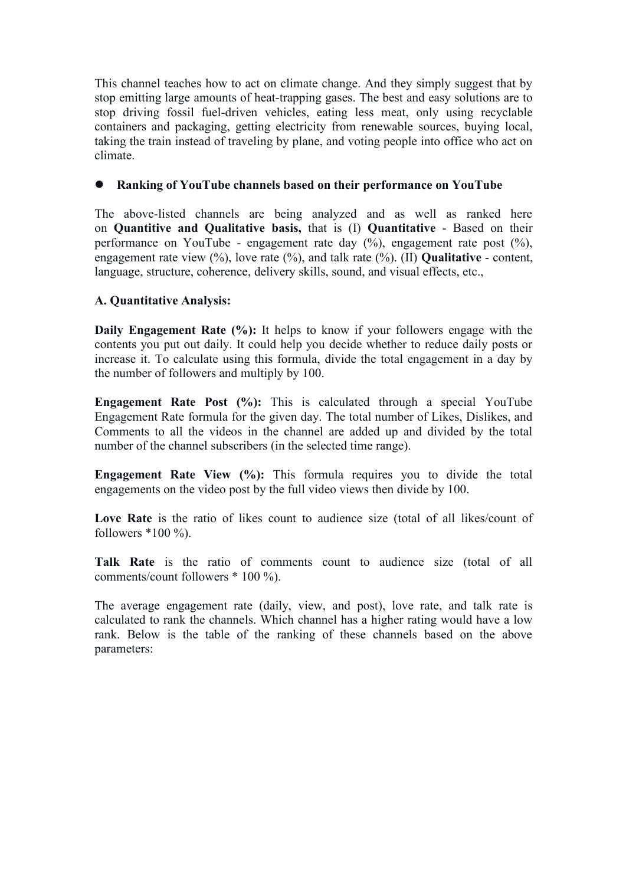This channel teaches how to act on climate change. And they simply suggest that by stop emitting large amounts of heat-trapping gases. The best and easy solutions are to stop driving fossil fuel-driven vehicles, eating less meat, only using recyclable containers and packaging, getting electricity from renewable sources, buying local, taking the train instead of traveling by plane, and voting people into office who act on climate.

### **Rankingof YouTube channels based on their performance on YouTube**

The above-listed channels are being analyzed and as well as ranked here on **Quantitive and Qualitative basis,** that is (I) **Quantitative** - Based on their performance on YouTube - engagement rate day (%), engagement rate post (%), engagement rate view (%), love rate (%), and talk rate (%). (II) **Qualitative** - content, language, structure, coherence, delivery skills, sound, and visual effects, etc.,

# **A. Quantitative Analysis:**

**Daily Engagement Rate**  $(\%)$ **:** It helps to know if your followers engage with the contents you put out daily. It could help you decide whether to reduce daily posts or increase it. To calculate using this formula, divide the total engagement in a day by the number of followers and multiply by 100.

**Engagement Rate Post (%):** This is calculated through a special YouTube Engagement Rate formula for the given day. The total number of Likes, Dislikes, and Comments to all the videos in the channel are added up and divided by the total number of the channel subscribers (in the selected time range).

**Engagement Rate View (%):** This formula requires you to divide the total engagements on the video post by the full video views then divide by 100.

Love Rate is the ratio of likes count to audience size (total of all likes/count of followers  $*100 \%$ ).

**Talk Rate** is the ratio of comments count to audience size (total of all comments/count followers \* 100 %).

The average engagement rate (daily, view, and post), love rate, and talk rate is calculated to rank the channels. Which channel has a higher rating would have a low rank. Below is the table of the ranking of these channels based on the above parameters: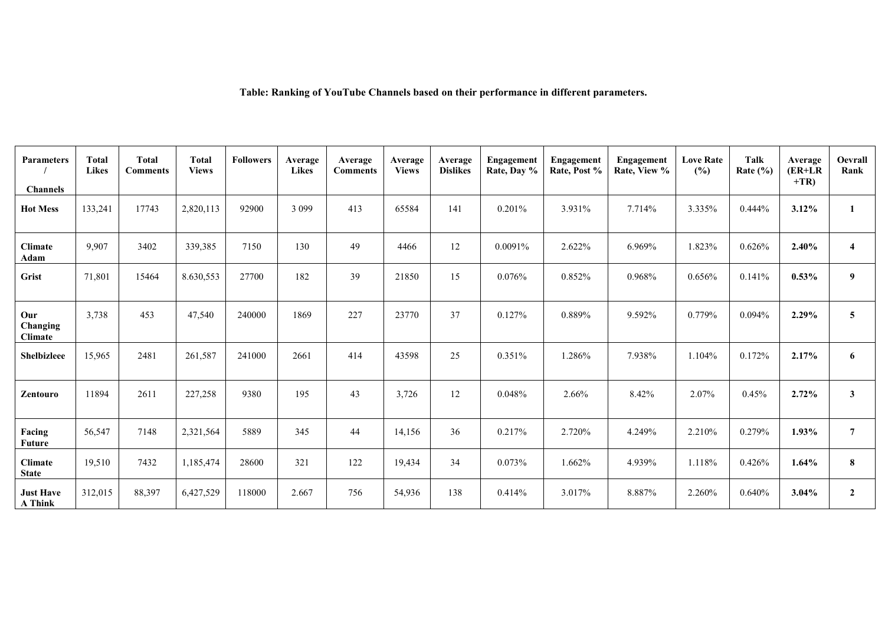**Table: Ranking of YouTube Channels based on their performance in different parameters.**

| <b>Parameters</b>                  | <b>Total</b><br><b>Likes</b> | <b>Total</b><br><b>Comments</b> | <b>Total</b><br><b>Views</b> | <b>Followers</b> | Average<br><b>Likes</b> | Average<br><b>Comments</b> | Average<br><b>Views</b> | Average<br><b>Dislikes</b> | Engagement<br>Rate, Day % | Engagement<br>Rate, Post % | Engagement<br>Rate, View % | <b>Love Rate</b><br>(%) | Talk<br>Rate $(\% )$ | Average<br>$(ER+LR)$<br>$+TR$ | Oevrall<br>Rank         |
|------------------------------------|------------------------------|---------------------------------|------------------------------|------------------|-------------------------|----------------------------|-------------------------|----------------------------|---------------------------|----------------------------|----------------------------|-------------------------|----------------------|-------------------------------|-------------------------|
| <b>Channels</b>                    |                              |                                 |                              |                  |                         |                            |                         |                            |                           |                            |                            |                         |                      |                               |                         |
| <b>Hot Mess</b>                    | 133,241                      | 17743                           | 2,820,113                    | 92900            | 3 0 9 9                 | 413                        | 65584                   | 141                        | 0.201%                    | 3.931%                     | 7.714%                     | 3.335%                  | 0.444%               | 3.12%                         |                         |
| <b>Climate</b><br>Adam             | 9,907                        | 3402                            | 339,385                      | 7150             | 130                     | 49                         | 4466                    | 12                         | 0.0091%                   | 2.622%                     | 6.969%                     | 1.823%                  | 0.626%               | 2.40%                         | $\overline{\mathbf{4}}$ |
| Grist                              | 71,801                       | 15464                           | 8.630,553                    | 27700            | 182                     | 39                         | 21850                   | 15                         | 0.076%                    | 0.852%                     | 0.968%                     | 0.656%                  | 0.141%               | $0.53\%$                      | 9                       |
| Our<br>Changing<br><b>Climate</b>  | 3,738                        | 453                             | 47,540                       | 240000           | 1869                    | 227                        | 23770                   | 37                         | 0.127%                    | 0.889%                     | 9.592%                     | 0.779%                  | 0.094%               | 2.29%                         | 5                       |
| Shelbizleee                        | 15,965                       | 2481                            | 261,587                      | 241000           | 2661                    | 414                        | 43598                   | 25                         | 0.351%                    | 1.286%                     | 7.938%                     | 1.104%                  | 0.172%               | 2.17%                         | 6                       |
| Zentouro                           | 11894                        | 2611                            | 227,258                      | 9380             | 195                     | 43                         | 3,726                   | 12                         | 0.048%                    | 2.66%                      | 8.42%                      | 2.07%                   | 0.45%                | 2.72%                         | $\mathbf{3}$            |
| Facing<br><b>Future</b>            | 56,547                       | 7148                            | 2,321,564                    | 5889             | 345                     | 44                         | 14,156                  | 36                         | 0.217%                    | 2.720%                     | 4.249%                     | 2.210%                  | 0.279%               | 1.93%                         | $\overline{7}$          |
| <b>Climate</b><br><b>State</b>     | 19,510                       | 7432                            | 1,185,474                    | 28600            | 321                     | 122                        | 19,434                  | 34                         | 0.073%                    | 1.662%                     | 4.939%                     | 1.118%                  | 0.426%               | 1.64%                         | 8                       |
| <b>Just Have</b><br><b>A</b> Think | 312,015                      | 88,397                          | 6,427,529                    | 118000           | 2.667                   | 756                        | 54,936                  | 138                        | 0.414%                    | 3.017%                     | 8.887%                     | 2.260%                  | 0.640%               | 3.04%                         | $\overline{2}$          |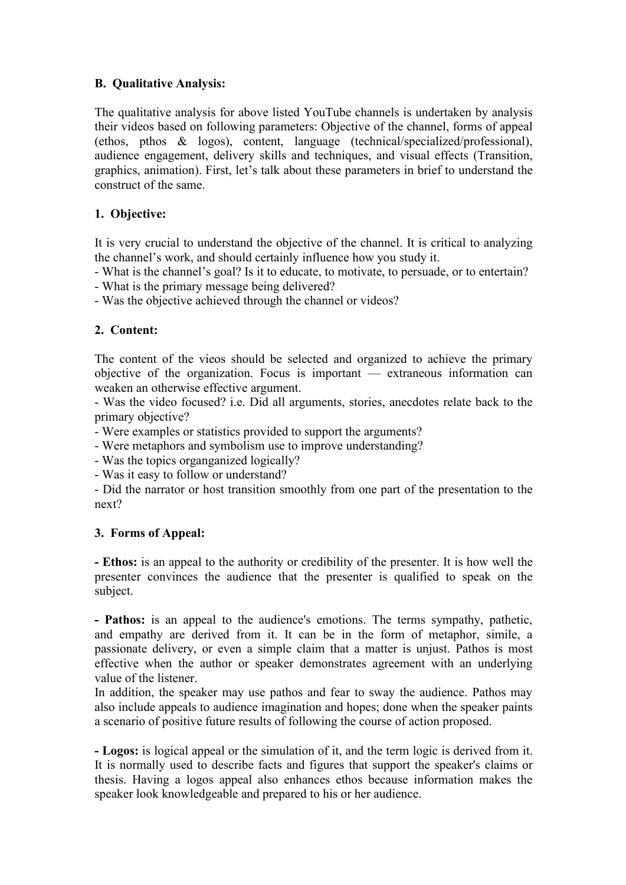# **B. Qualitative Analysis:**

The qualitative analysis for above listed YouTube channels is undertaken by analysis their videos based on following parameters: Objective of the channel, forms of appeal (ethos, pthos & logos), content, language (technical/specialized/professional), audience engagement, delivery skills and techniques, and visual effects (Transition, graphics, animation). First, let's talk about these parameters in brief to understand the construct of the same.

# **1. Objective:**

It is very crucial to understand the objective of the channel.It is critical to analyzing the channel's work, and should certainly influence how you study it.

- What is the channel's goal? Is it to educate, to motivate, to persuade, or to entertain?

- What is the primary message being delivered?

- Was the objective achieved through the channel or videos?

# **2. Content:**

The content of the vieos should be selected and organized to achieve the primary objective of the organization. Focus is important — extraneous information can weaken an otherwise effective argument.

- Was the video focused? i.e. Did all arguments, stories, anecdotes relate back to the primary objective?

- Were examples or statistics provided to support the arguments?

- Were metaphors and symbolism use to improve understanding?

- Was the topics organganized logically?

- Was it easy to follow or understand?

- Did the narrator or host transition smoothly from one part of the presentation to the next?

# **3. Forms ofAppeal:**

**- Ethos:** is an appeal to the authority or credibility of the presenter. It is how well the presenter convinces the audience that the presenter is qualified to speak on the subject.

**- Pathos:** is an appeal to the audience's emotions. The terms sympathy, pathetic, and empathy are derived from it. It can be in the form of metaphor, simile, a passionate delivery, or even a simple claim that a matter is unjust. Pathos is most effective when the author or speaker demonstrates agreement with an underlying value of the listener.

In addition, the speaker may use pathos and fear to sway the audience. Pathos may also include appeals to audience imagination and hopes; done when the speaker paints a scenario of positive future results of following the course of action proposed.

**- Logos:** is logical appeal or the simulation of it, and the term logic is derived from it. It is normally used to describe facts and figures that support the speaker's claims or thesis. Having a logos appeal also enhances ethos because information makes the speaker look knowledgeable and prepared to his or her audience.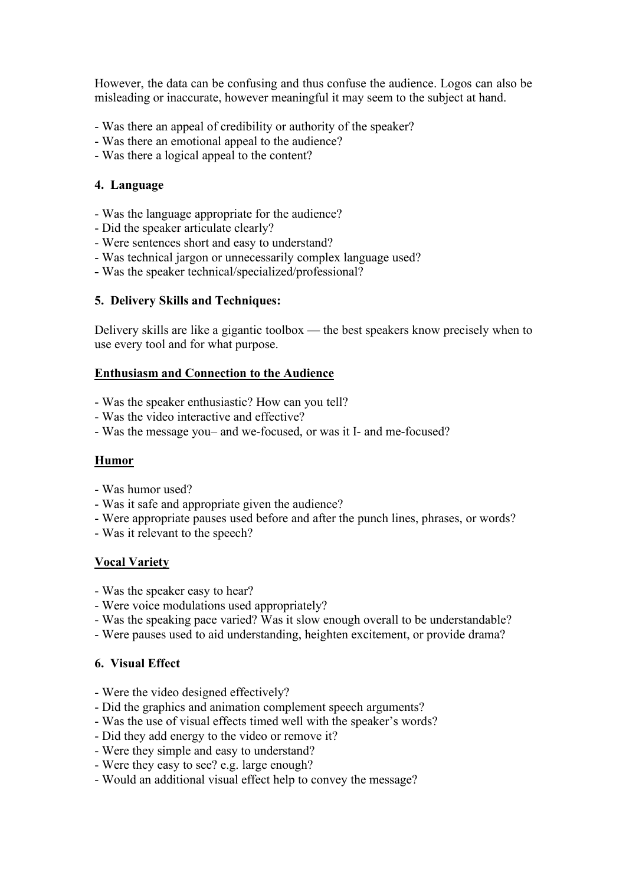However, the data can be confusing and thus confuse the audience. Logos can also be misleading or inaccurate, however meaningful it may seem to the subject at hand.

- Was there an appeal of credibility or authority of the speaker?
- Was there an emotional appeal to the audience?
- Was there a logical appeal to the content?

### **4. Language**

- Was the language appropriate for the audience?
- Did the speaker articulate clearly?
- Were sentences short and easy to understand?
- Was technical jargon or unnecessarily complex language used?
- **-** Was the speaker technical/specialized/professional?

# **5. Delivery Skills and Techniques:**

Delivery skills are like a gigantic toolbox — the best speakers know precisely when to use every tool and for what purpose.

### **Enthusiasm and Connection to the Audience**

- Was the speaker enthusiastic? How can you tell?
- Was the video interactive and effective?
- Was the message you– and we-focused, or was it I- and me-focused?

# **Humor**

- Was humor used?
- Was it safe and appropriate given the audience?
- Were appropriate pauses used before and after the punch lines, phrases, or words?
- Was it relevant to the speech?

# **Vocal Variety**

- Was the speaker easy to hear?
- Were voice modulations used appropriately?
- Was the speaking pace varied? Was it slow enough overall to be understandable?
- Were pauses used to aid understanding, heighten excitement, or provide drama?

# **6. Visual Effect**

- Were the video designed effectively?
- Did the graphics and animation complement speech arguments?
- Was the use of visual effects timed well with the speaker's words?
- Did they add energy to the video or remove it?
- Were they simple and easy to understand?
- Were they easy to see? e.g. large enough?
- Would an additional visual effect help to convey the message?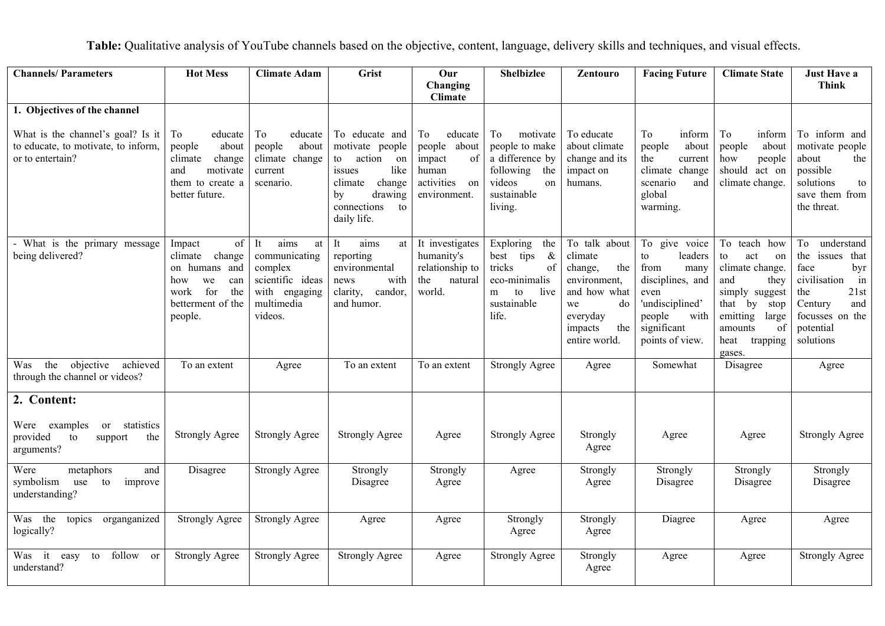**Table:** Qualitative analysis of YouTube channels based on the objective, content, language, delivery skills and techniques, and visual effects.

| <b>Channels/Parameters</b>                                                                   | <b>Hot Mess</b>                                                                                                              | <b>Climate Adam</b>                                                                                        | Grist                                                                                                                                               | Our<br>Changing<br><b>Climate</b>                                                          | <b>Shelbizlee</b>                                                                                                    | Zentouro                                                                                                                              | <b>Facing Future</b>                                                                                                                              | <b>Climate State</b>                                                                                                                                                       | <b>Just Have a</b><br><b>Think</b>                                                                                                                  |
|----------------------------------------------------------------------------------------------|------------------------------------------------------------------------------------------------------------------------------|------------------------------------------------------------------------------------------------------------|-----------------------------------------------------------------------------------------------------------------------------------------------------|--------------------------------------------------------------------------------------------|----------------------------------------------------------------------------------------------------------------------|---------------------------------------------------------------------------------------------------------------------------------------|---------------------------------------------------------------------------------------------------------------------------------------------------|----------------------------------------------------------------------------------------------------------------------------------------------------------------------------|-----------------------------------------------------------------------------------------------------------------------------------------------------|
| 1. Objectives of the channel                                                                 |                                                                                                                              |                                                                                                            |                                                                                                                                                     |                                                                                            |                                                                                                                      |                                                                                                                                       |                                                                                                                                                   |                                                                                                                                                                            |                                                                                                                                                     |
| What is the channel's goal? Is it<br>to educate, to motivate, to inform,<br>or to entertain? | To<br>educate<br>people<br>about<br>climate<br>change<br>motivate<br>and<br>them to create a<br>better future.               | To<br>educate<br>people<br>about<br>climate change<br>current<br>scenario.                                 | To educate and<br>motivate people<br>action<br>to<br>on<br>like<br>issues<br>change<br>climate<br>drawing<br>by<br>connections<br>to<br>daily life. | To<br>educate<br>people about<br>of<br>impact<br>human<br>activities<br>on<br>environment. | To<br>motivate<br>people to make<br>a difference by<br>following the<br>videos<br>on<br>sustainable<br>living.       | To educate<br>about climate<br>change and its<br>impact on<br>humans.                                                                 | To<br>inform<br>about<br>people<br>the<br>current<br>climate change<br>scenario<br>and<br>global<br>warming.                                      | To<br>inform<br>about<br>people<br>how<br>people<br>should<br>act on<br>climate change.                                                                                    | To inform and<br>motivate people<br>about<br>the<br>possible<br>solutions<br>to<br>save them from<br>the threat.                                    |
| - What is the primary message<br>being delivered?                                            | of<br>Impact<br>climate<br>change<br>on humans and<br>we<br>can<br>how<br>for<br>work<br>the<br>betterment of the<br>people. | aims<br>It<br>at<br>communicating<br>complex<br>scientific ideas<br>with engaging<br>multimedia<br>videos. | aims<br>It<br>at  <br>reporting<br>environmental<br>with<br>news<br>clarity, candor,<br>and humor.                                                  | It investigates<br>humanity's<br>relationship to<br>the<br>natural<br>world.               | Exploring<br>the<br>$\&$<br>best<br>tips<br>tricks<br>of<br>eco-minimalis<br>live<br>m<br>to<br>sustainable<br>life. | To talk about<br>climate<br>the<br>change,<br>environment,<br>and how what<br>we<br>do<br>everyday<br>the<br>impacts<br>entire world. | To give voice<br>to<br>leaders<br>from<br>many<br>disciplines, and<br>even<br>'undisciplined'<br>people<br>with<br>significant<br>points of view. | To teach how<br>to<br>act<br>on<br>climate change.<br>and<br>they<br>simply suggest<br>that by<br>stop<br>emitting<br>large<br>amounts<br>of<br>heat<br>trapping<br>gases. | To understand<br>the issues that<br>face<br>byr<br>civilisation<br>in<br>21st<br>the<br>Century<br>and<br>focusses on the<br>potential<br>solutions |
| the objective achieved<br>Was<br>through the channel or videos?                              | To an extent                                                                                                                 | Agree                                                                                                      | To an extent                                                                                                                                        | To an extent                                                                               | <b>Strongly Agree</b>                                                                                                | Agree                                                                                                                                 | Somewhat                                                                                                                                          | Disagree                                                                                                                                                                   | Agree                                                                                                                                               |
| 2. Content:                                                                                  |                                                                                                                              |                                                                                                            |                                                                                                                                                     |                                                                                            |                                                                                                                      |                                                                                                                                       |                                                                                                                                                   |                                                                                                                                                                            |                                                                                                                                                     |
| Were<br>examples<br>or statistics<br>provided<br>to<br>the<br>support<br>arguments?          | <b>Strongly Agree</b>                                                                                                        | <b>Strongly Agree</b>                                                                                      | <b>Strongly Agree</b>                                                                                                                               | Agree                                                                                      | <b>Strongly Agree</b>                                                                                                | Strongly<br>Agree                                                                                                                     | Agree                                                                                                                                             | Agree                                                                                                                                                                      | <b>Strongly Agree</b>                                                                                                                               |
| Were<br>metaphors<br>and<br>symbolism<br>use<br>improve<br>to<br>understanding?              | Disagree                                                                                                                     | <b>Strongly Agree</b>                                                                                      | Strongly<br>Disagree                                                                                                                                | Strongly<br>Agree                                                                          | Agree                                                                                                                | Strongly<br>Agree                                                                                                                     | Strongly<br>Disagree                                                                                                                              | Strongly<br>Disagree                                                                                                                                                       | Strongly<br>Disagree                                                                                                                                |
| Was the topics<br>organganized<br>logically?                                                 | <b>Strongly Agree</b>                                                                                                        | <b>Strongly Agree</b>                                                                                      | Agree                                                                                                                                               | Agree                                                                                      | Strongly<br>Agree                                                                                                    | Strongly<br>Agree                                                                                                                     | Diagree                                                                                                                                           | Agree                                                                                                                                                                      | Agree                                                                                                                                               |
| follow or<br>Was it easy<br>to<br>understand?                                                | <b>Strongly Agree</b>                                                                                                        | <b>Strongly Agree</b>                                                                                      | <b>Strongly Agree</b>                                                                                                                               | Agree                                                                                      | <b>Strongly Agree</b>                                                                                                | Strongly<br>Agree                                                                                                                     | Agree                                                                                                                                             | Agree                                                                                                                                                                      | <b>Strongly Agree</b>                                                                                                                               |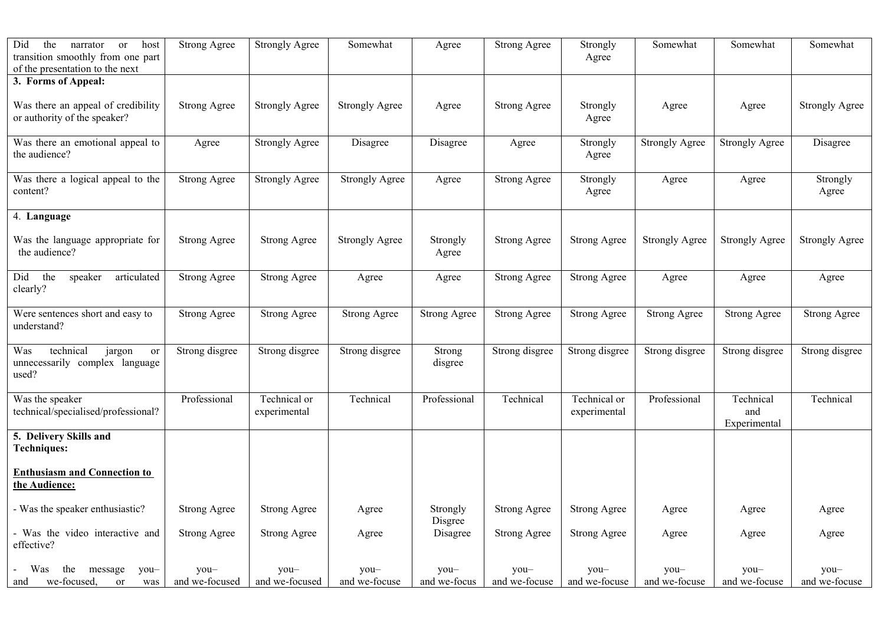| Did<br>the<br>narrator<br>host<br>or<br>transition smoothly from one part<br>of the presentation to the next | <b>Strong Agree</b>    | <b>Strongly Agree</b>        | Somewhat              | Agree                | <b>Strong Agree</b>     | Strongly<br>Agree            | Somewhat              | Somewhat                         | Somewhat              |
|--------------------------------------------------------------------------------------------------------------|------------------------|------------------------------|-----------------------|----------------------|-------------------------|------------------------------|-----------------------|----------------------------------|-----------------------|
| 3. Forms of Appeal:                                                                                          |                        |                              |                       |                      |                         |                              |                       |                                  |                       |
| Was there an appeal of credibility<br>or authority of the speaker?                                           | <b>Strong Agree</b>    | <b>Strongly Agree</b>        | <b>Strongly Agree</b> | Agree                | <b>Strong Agree</b>     | Strongly<br>Agree            | Agree                 | Agree                            | <b>Strongly Agree</b> |
| Was there an emotional appeal to<br>the audience?                                                            | Agree                  | <b>Strongly Agree</b>        | Disagree              | Disagree             | Agree                   | Strongly<br>Agree            | <b>Strongly Agree</b> | <b>Strongly Agree</b>            | Disagree              |
| Was there a logical appeal to the<br>content?                                                                | <b>Strong Agree</b>    | <b>Strongly Agree</b>        | <b>Strongly Agree</b> | Agree                | <b>Strong Agree</b>     | Strongly<br>Agree            | Agree                 | Agree                            | Strongly<br>Agree     |
| 4. Language                                                                                                  |                        |                              |                       |                      |                         |                              |                       |                                  |                       |
| Was the language appropriate for<br>the audience?                                                            | <b>Strong Agree</b>    | <b>Strong Agree</b>          | <b>Strongly Agree</b> | Strongly<br>Agree    | <b>Strong Agree</b>     | <b>Strong Agree</b>          | <b>Strongly Agree</b> | <b>Strongly Agree</b>            | <b>Strongly Agree</b> |
| the<br>articulated<br>Did<br>speaker<br>clearly?                                                             | <b>Strong Agree</b>    | <b>Strong Agree</b>          | Agree                 | Agree                | <b>Strong Agree</b>     | <b>Strong Agree</b>          | Agree                 | Agree                            | Agree                 |
| Were sentences short and easy to<br>understand?                                                              | <b>Strong Agree</b>    | <b>Strong Agree</b>          | <b>Strong Agree</b>   | <b>Strong Agree</b>  | <b>Strong Agree</b>     | <b>Strong Agree</b>          | <b>Strong Agree</b>   | <b>Strong Agree</b>              | <b>Strong Agree</b>   |
| technical<br>Was<br>jargon<br>or<br>unnecessarily complex language<br>used?                                  | Strong disgree         | Strong disgree               | Strong disgree        | Strong<br>disgree    | Strong disgree          | Strong disgree               | Strong disgree        | Strong disgree                   | Strong disgree        |
| Was the speaker<br>technical/specialised/professional?                                                       | Professional           | Technical or<br>experimental | Technical             | Professional         | Technical               | Technical or<br>experimental | Professional          | Technical<br>and<br>Experimental | Technical             |
| 5. Delivery Skills and<br><b>Techniques:</b>                                                                 |                        |                              |                       |                      |                         |                              |                       |                                  |                       |
| <b>Enthusiasm and Connection to</b><br>the Audience:                                                         |                        |                              |                       |                      |                         |                              |                       |                                  |                       |
| - Was the speaker enthusiastic?                                                                              | <b>Strong Agree</b>    | <b>Strong Agree</b>          | Agree                 | Strongly<br>Disgree  | Strong Agree            | Strong Agree                 | Agree                 | Agree                            | Agree                 |
| - Was the video interactive and<br>effective?                                                                | <b>Strong Agree</b>    | <b>Strong Agree</b>          | Agree                 | Disagree             | <b>Strong Agree</b>     | <b>Strong Agree</b>          | Agree                 | Agree                            | Agree                 |
| Was<br>the<br>message<br>you-<br>we-focused.<br>or<br>was<br>and                                             | you-<br>and we-focused | you-<br>and we-focused       | you-<br>and we-focuse | you-<br>and we-focus | $you-$<br>and we-focuse | you-<br>and we-focuse        | you-<br>and we-focuse | you-<br>and we-focuse            | you-<br>and we-focuse |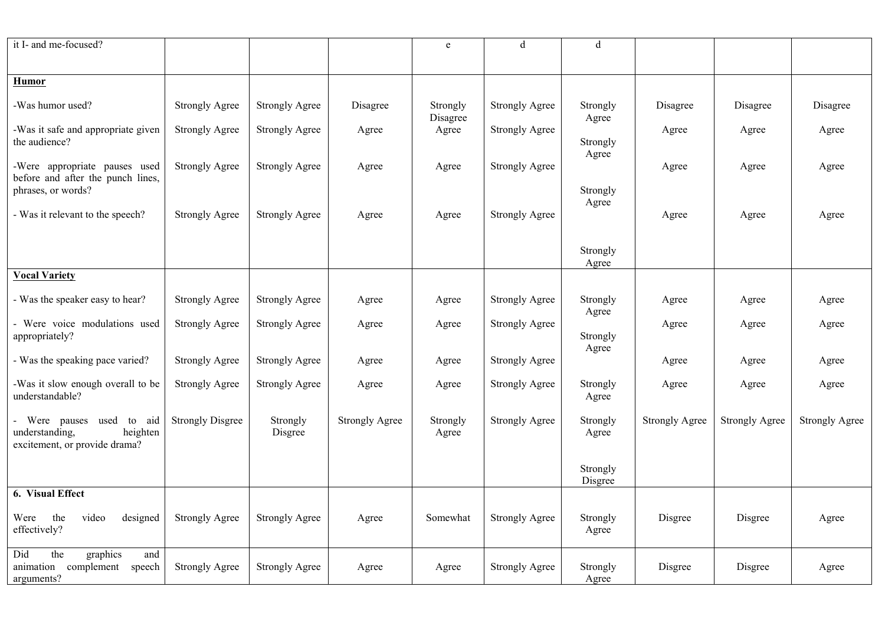| it I- and me-focused?                                                                  |                         |                       |                       | e                 | d                     | d                   |                       |                       |                       |
|----------------------------------------------------------------------------------------|-------------------------|-----------------------|-----------------------|-------------------|-----------------------|---------------------|-----------------------|-----------------------|-----------------------|
|                                                                                        |                         |                       |                       |                   |                       |                     |                       |                       |                       |
| <b>Humor</b>                                                                           |                         |                       |                       |                   |                       |                     |                       |                       |                       |
| -Was humor used?                                                                       | <b>Strongly Agree</b>   | <b>Strongly Agree</b> | Disagree              | Strongly          | <b>Strongly Agree</b> | Strongly            | Disagree              | Disagree              | Disagree              |
| -Was it safe and appropriate given                                                     | <b>Strongly Agree</b>   | <b>Strongly Agree</b> | Agree                 | Disagree<br>Agree | <b>Strongly Agree</b> | Agree               | Agree                 | Agree                 | Agree                 |
| the audience?                                                                          |                         |                       |                       |                   |                       | Strongly<br>Agree   |                       |                       |                       |
| -Were appropriate pauses used<br>before and after the punch lines,                     | <b>Strongly Agree</b>   | <b>Strongly Agree</b> | Agree                 | Agree             | <b>Strongly Agree</b> |                     | Agree                 | Agree                 | Agree                 |
| phrases, or words?                                                                     |                         |                       |                       |                   |                       | Strongly<br>Agree   |                       |                       |                       |
| - Was it relevant to the speech?                                                       | <b>Strongly Agree</b>   | <b>Strongly Agree</b> | Agree                 | Agree             | <b>Strongly Agree</b> |                     | Agree                 | Agree                 | Agree                 |
|                                                                                        |                         |                       |                       |                   |                       | Strongly            |                       |                       |                       |
|                                                                                        |                         |                       |                       |                   |                       | Agree               |                       |                       |                       |
| <b>Vocal Variety</b>                                                                   |                         |                       |                       |                   |                       |                     |                       |                       |                       |
| - Was the speaker easy to hear?                                                        | <b>Strongly Agree</b>   | <b>Strongly Agree</b> | Agree                 | Agree             | <b>Strongly Agree</b> | Strongly<br>Agree   | Agree                 | Agree                 | Agree                 |
| - Were voice modulations used<br>appropriately?                                        | <b>Strongly Agree</b>   | <b>Strongly Agree</b> | Agree                 | Agree             | <b>Strongly Agree</b> | Strongly            | Agree                 | Agree                 | Agree                 |
|                                                                                        |                         |                       |                       |                   |                       | Agree               |                       |                       |                       |
| - Was the speaking pace varied?                                                        | <b>Strongly Agree</b>   | <b>Strongly Agree</b> | Agree                 | Agree             | <b>Strongly Agree</b> |                     | Agree                 | Agree                 | Agree                 |
| -Was it slow enough overall to be<br>understandable?                                   | <b>Strongly Agree</b>   | <b>Strongly Agree</b> | Agree                 | Agree             | <b>Strongly Agree</b> | Strongly<br>Agree   | Agree                 | Agree                 | Agree                 |
| Were pauses used to aid<br>understanding,<br>heighten<br>excitement, or provide drama? | <b>Strongly Disgree</b> | Strongly<br>Disgree   | <b>Strongly Agree</b> | Strongly<br>Agree | <b>Strongly Agree</b> | Strongly<br>Agree   | <b>Strongly Agree</b> | <b>Strongly Agree</b> | <b>Strongly Agree</b> |
|                                                                                        |                         |                       |                       |                   |                       | Strongly<br>Disgree |                       |                       |                       |
| 6. Visual Effect                                                                       |                         |                       |                       |                   |                       |                     |                       |                       |                       |
| the<br>video<br>designed<br>Were<br>effectively?                                       | <b>Strongly Agree</b>   | <b>Strongly Agree</b> | Agree                 | Somewhat          | <b>Strongly Agree</b> | Strongly<br>Agree   | Disgree               | Disgree               | Agree                 |
| the<br>graphics<br>Did<br>and<br>complement<br>speech<br>animation<br>arguments?       | <b>Strongly Agree</b>   | <b>Strongly Agree</b> | Agree                 | Agree             | <b>Strongly Agree</b> | Strongly<br>Agree   | Disgree               | Disgree               | Agree                 |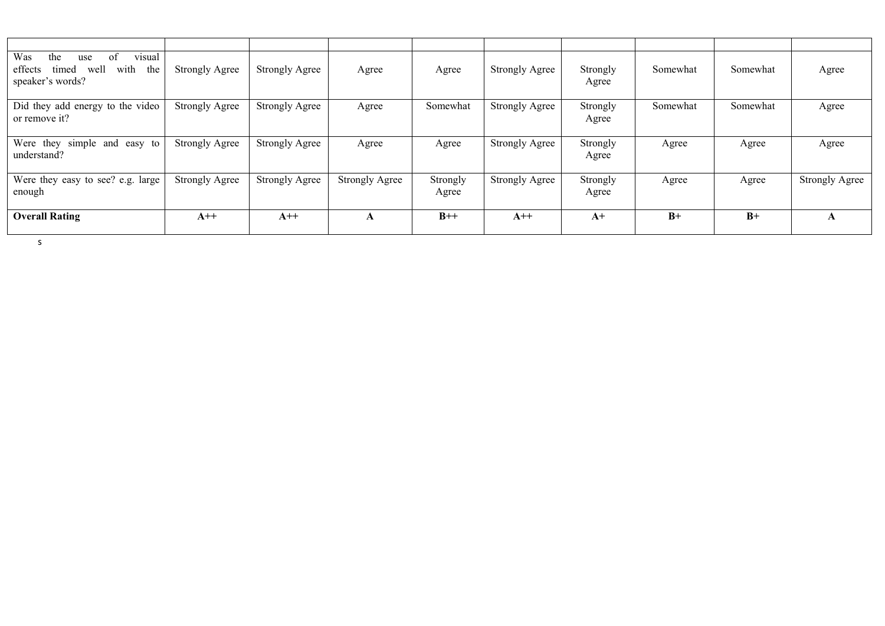| visual<br>Was<br>of<br>the<br>use<br>well<br>with<br>the<br>effects<br>timed<br>speaker's words? | <b>Strongly Agree</b> | <b>Strongly Agree</b> | Agree                 | Agree             | <b>Strongly Agree</b> | Strongly<br>Agree | Somewhat | Somewhat | Agree                 |
|--------------------------------------------------------------------------------------------------|-----------------------|-----------------------|-----------------------|-------------------|-----------------------|-------------------|----------|----------|-----------------------|
| Did they add energy to the video<br>or remove it?                                                | <b>Strongly Agree</b> | <b>Strongly Agree</b> | Agree                 | Somewhat          | <b>Strongly Agree</b> | Strongly<br>Agree | Somewhat | Somewhat | Agree                 |
| Were they simple and easy to<br>understand?                                                      | <b>Strongly Agree</b> | <b>Strongly Agree</b> | Agree                 | Agree             | <b>Strongly Agree</b> | Strongly<br>Agree | Agree    | Agree    | Agree                 |
| Were they easy to see? e.g. large<br>enough                                                      | <b>Strongly Agree</b> | <b>Strongly Agree</b> | <b>Strongly Agree</b> | Strongly<br>Agree | <b>Strongly Agree</b> | Strongly<br>Agree | Agree    | Agree    | <b>Strongly Agree</b> |
| <b>Overall Rating</b>                                                                            | $A++$                 | $A++$                 | A                     | $B++$             | $A++$                 | $A+$              | $B+$     | $B+$     | A                     |

s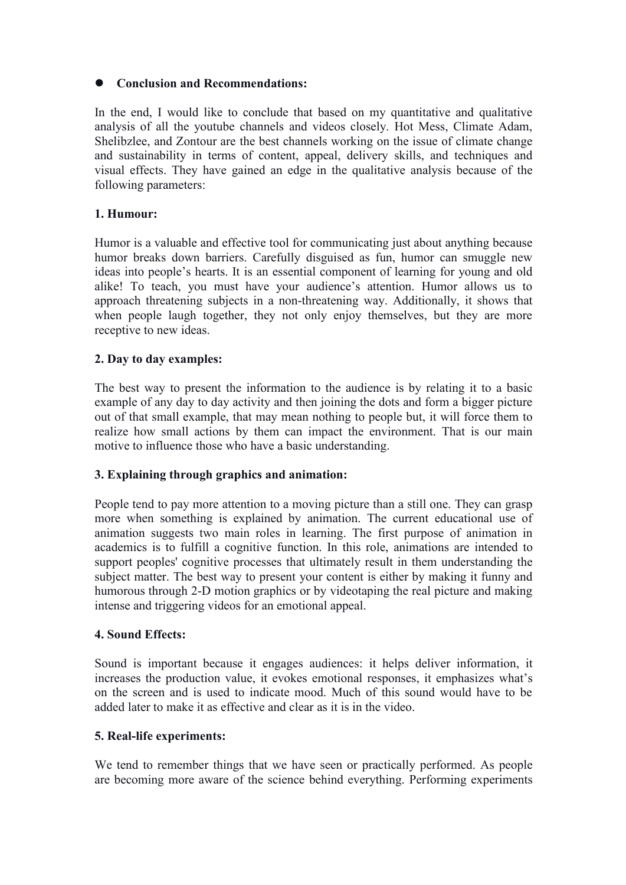## **Conclusion and Recommendations:**

In the end, I would like to conclude that based on my quantitative and qualitative analysis of all the youtube channels and videos closely. Hot Mess, Climate Adam, Shelibzlee, and Zontour are the best channels working on the issue of climate change and sustainability in terms of content, appeal, delivery skills, and techniques and visual effects. They have gained an edge in the qualitative analysis because of the following parameters:

### **1. Humour:**

Humor is a valuable and effective tool for communicating just about anything because humor breaks down barriers. Carefully disguised as fun, humor can smuggle new ideas into people's hearts. It is an essential component of learning for young and old alike! To teach, you must have your audience's attention. Humor allows us to approach threatening subjects in a non-threatening way. Additionally, it shows that when people laugh together, they not only enjoy themselves, but they are more receptive to new ideas.

### **2. Day to day examples:**

The best way to present the information to the audience is by relating it to a basic example of any day to day activity and then joining the dots and form a bigger picture out of that small example, that may mean nothing to people but, it will force them to realize how small actions by them can impact the environment. That is our main motive to influence those who have a basic understanding.

# **3. Explaining through graphics and animation:**

People tend to pay more attention to a moving picture than a still one. They can grasp more when something is explained by animation.The current educational use of animation suggests two main roles in learning. The first purpose of animation in academics is to fulfill a cognitive function. In this role, animations are intended to support peoples' cognitive processes that ultimately result in them understanding the subject matter. The best way to present your content is either by making it funny and humorous through 2-D motion graphics or by videotaping the real picture and making intense and triggering videos for an emotional appeal.

### **4. Sound Effects:**

Sound is important because it engages audiences: it helps deliver information, it increases the production value, it evokes emotional responses, it emphasizes what's on the screen and is used to indicate mood. Much of this sound would have to be added later to make it as effective and clear as it is in the video.

### **5. Real-life experiments:**

We tend to remember things that we have seen or practically performed. As people are becoming more aware of the science behind everything. Performing experiments